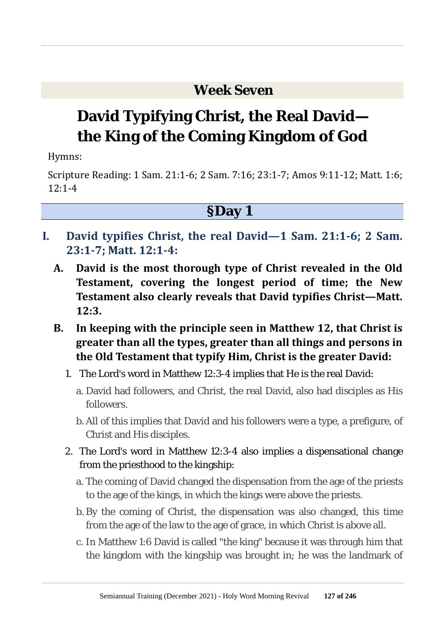### **Week Seven**

# **David Typifying Christ, the Real David the King of the Coming Kingdom of God**

Hymns:

Scripture Reading: 1 Sam. 21:1-6; 2 Sam. 7:16; 23:1-7; Amos 9:11-12; Matt. 1:6;  $12:1-4$ 

### **§Day 1**

- **I. David typifies Christ, the real David—1 Sam. 21:1-6; 2 Sam. 23:1-7; Matt. 12:1-4:**
	- **A. David is the most thorough type of Christ revealed in the Old Testament, covering the longest period of time; the New Testament also clearly reveals that David typifies Christ—Matt. 12:3.**
	- **B. In keeping with the principle seen in Matthew 12, that Christ is greater than all the types, greater than all things and persons in the Old Testament that typify Him, Christ is the greater David:**
		- 1. The Lord's word in Matthew 12:3-4 implies that He is the real David:
			- a. David had followers, and Christ, the real David, also had disciples as His followers.
			- b. All of this implies that David and his followers were a type, a prefigure, of Christ and His disciples.
		- 2. The Lord's word in Matthew 12:3-4 also implies a dispensational change from the priesthood to the kingship:
			- a. The coming of David changed the dispensation from the age of the priests to the age of the kings, in which the kings were above the priests.
			- b. By the coming of Christ, the dispensation was also changed, this time from the age of the law to the age of grace, in which Christ is above all.
			- c. In Matthew 1:6 David is called "the king" because it was through him that the kingdom with the kingship was brought in; he was the landmark of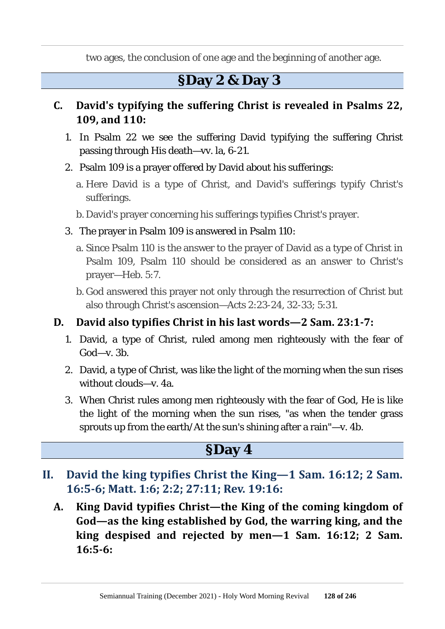two ages, the conclusion of one age and the beginning of another age.

### **§Day 2 & Day 3**

#### **C. David's typifying the suffering Christ is revealed in Psalms 22, 109, and 110:**

- 1. In Psalm 22 we see the suffering David typifying the suffering Christ passing through His death—vv. la, 6-21.
- 2. Psalm 109 is a prayer offered by David about his sufferings:
	- a. Here David is a type of Christ, and David's sufferings typify Christ's sufferings.
	- b. David's prayer concerning his sufferings typifies Christ's prayer.
- 3. The prayer in Psalm 109 is answered in Psalm 110:
	- a. Since Psalm 110 is the answer to the prayer of David as a type of Christ in Psalm 109, Psalm 110 should be considered as an answer to Christ's prayer—Heb. 5:7.
	- b. God answered this prayer not only through the resurrection of Christ but also through Christ's ascension—Acts 2:23-24, 32-33; 5:31.

#### **D. David also typifies Christ in his last words—2 Sam. 23:1-7:**

- 1. David, a type of Christ, ruled among men righteously with the fear of God—v. 3b.
- 2. David, a type of Christ, was like the light of the morning when the sun rises without clouds—v. 4a.
- 3. When Christ rules among men righteously with the fear of God, He is like the light of the morning when the sun rises, "as when the tender grass sprouts up from the earth/At the sun's shining after a rain"—v. 4b.

### **§Day 4**

- **II. David the king typifies Christ the King—1 Sam. 16:12; 2 Sam. 16:5-6; Matt. 1:6; 2:2; 27:11; Rev. 19:16:**
	- **A. King David typifies Christ—the King of the coming kingdom of God—as the king established by God, the warring king, and the king despised and rejected by men—1 Sam. 16:12; 2 Sam. 16:5-6:**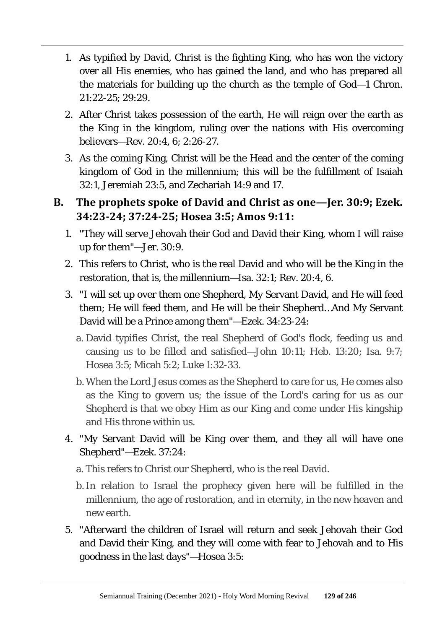- 1. As typified by David, Christ is the fighting King, who has won the victory over all His enemies, who has gained the land, and who has prepared all the materials for building up the church as the temple of God—1 Chron. 21:22-25; 29:29.
- 2. After Christ takes possession of the earth, He will reign over the earth as the King in the kingdom, ruling over the nations with His overcoming believers—Rev. 20:4, 6; 2:26-27.
- 3. As the coming King, Christ will be the Head and the center of the coming kingdom of God in the millennium; this will be the fulfillment of Isaiah 32:1, Jeremiah 23:5, and Zechariah 14:9 and 17.
- **B. The prophets spoke of David and Christ as one—Jer. 30:9; Ezek. 34:23-24; 37:24-25; Hosea 3:5; Amos 9:11:**
	- 1. "They will serve Jehovah their God and David their King, whom I will raise up for them"—Jer. 30:9.
	- 2. This refers to Christ, who is the real David and who will be the King in the restoration, that is, the millennium—Isa. 32:1; Rev. 20:4, 6.
	- 3. "I will set up over them one Shepherd, My Servant David, and He will feed them; He will feed them, and He will be their Shepherd…And My Servant David will be a Prince among them"—Ezek. 34:23-24:
		- a. David typifies Christ, the real Shepherd of God's flock, feeding us and causing us to be filled and satisfied—John 10:11; Heb. 13:20; Isa. 9:7; Hosea 3:5; Micah 5:2; Luke 1:32-33.
		- b. When the Lord Jesus comes as the Shepherd to care for us, He comes also as the King to govern us; the issue of the Lord's caring for us as our Shepherd is that we obey Him as our King and come under His kingship and His throne within us.
	- 4. "My Servant David will be King over them, and they all will have one Shepherd"—Ezek. 37:24:
		- a. This refers to Christ our Shepherd, who is the real David.
		- b.In relation to Israel the prophecy given here will be fulfilled in the millennium, the age of restoration, and in eternity, in the new heaven and new earth.
	- 5. "Afterward the children of Israel will return and seek Jehovah their God and David their King, and they will come with fear to Jehovah and to His goodness in the last days"—Hosea 3:5: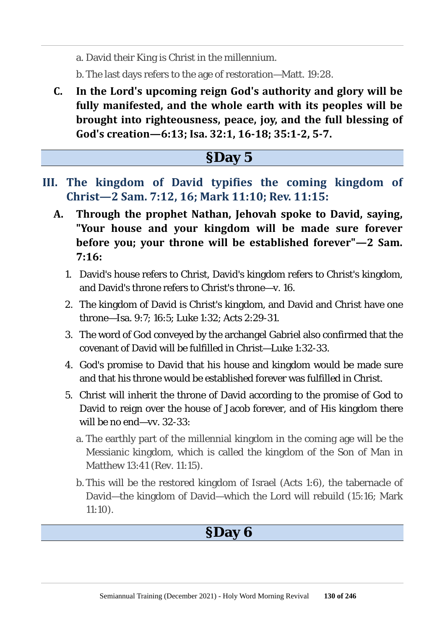a. David their King is Christ in the millennium.

b. The last days refers to the age of restoration—Matt. 19:28.

**C. In the Lord's upcoming reign God's authority and glory will be fully manifested, and the whole earth with its peoples will be brought into righteousness, peace, joy, and the full blessing of God's creation—6:13; Isa. 32:1, 16-18; 35:1-2, 5-7.**

### **§Day 5**

- **III. The kingdom of David typifies the coming kingdom of Christ—2 Sam. 7:12, 16; Mark 11:10; Rev. 11:15:**
	- **A. Through the prophet Nathan, Jehovah spoke to David, saying, "Your house and your kingdom will be made sure forever before you; your throne will be established forever"—2 Sam. 7:16:**
		- 1. David's house refers to Christ, David's kingdom refers to Christ's kingdom, and David's throne refers to Christ's throne—v. 16.
		- 2. The kingdom of David is Christ's kingdom, and David and Christ have one throne—Isa. 9:7; 16:5; Luke 1:32; Acts 2:29-31.
		- 3. The word of God conveyed by the archangel Gabriel also confirmed that the covenant of David will be fulfilled in Christ—Luke 1:32-33.
		- 4. God's promise to David that his house and kingdom would be made sure and that his throne would be established forever was fulfilled in Christ.
		- 5. Christ will inherit the throne of David according to the promise of God to David to reign over the house of Jacob forever, and of His kingdom there will be no end—vv. 32-33:
			- a. The earthly part of the millennial kingdom in the coming age will be the Messianic kingdom, which is called the kingdom of the Son of Man in Matthew 13:41 (Rev. 11:15).
			- b. This will be the restored kingdom of Israel (Acts 1:6), the tabernacle of David—the kingdom of David—which the Lord will rebuild (15:16; Mark 11:10).

### **§Day 6**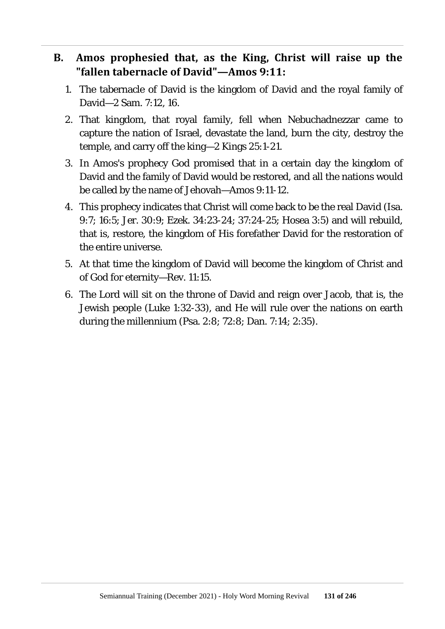#### **B. Amos prophesied that, as the King, Christ will raise up the "fallen tabernacle of David"—Amos 9:11:**

- 1. The tabernacle of David is the kingdom of David and the royal family of David—2 Sam. 7:12, 16.
- 2. That kingdom, that royal family, fell when Nebuchadnezzar came to capture the nation of Israel, devastate the land, burn the city, destroy the temple, and carry off the king—2 Kings 25:1-21.
- 3. In Amos's prophecy God promised that in a certain day the kingdom of David and the family of David would be restored, and all the nations would be called by the name of Jehovah—Amos 9:11-12.
- 4. This prophecy indicates that Christ will come back to be the real David (Isa. 9:7; 16:5; Jer. 30:9; Ezek. 34:23-24; 37:24-25; Hosea 3:5) and will rebuild, that is, restore, the kingdom of His forefather David for the restoration of the entire universe.
- 5. At that time the kingdom of David will become the kingdom of Christ and of God for eternity—Rev. 11:15.
- 6. The Lord will sit on the throne of David and reign over Jacob, that is, the Jewish people (Luke 1:32-33), and He will rule over the nations on earth during the millennium (Psa. 2:8; 72:8; Dan. 7:14; 2:35).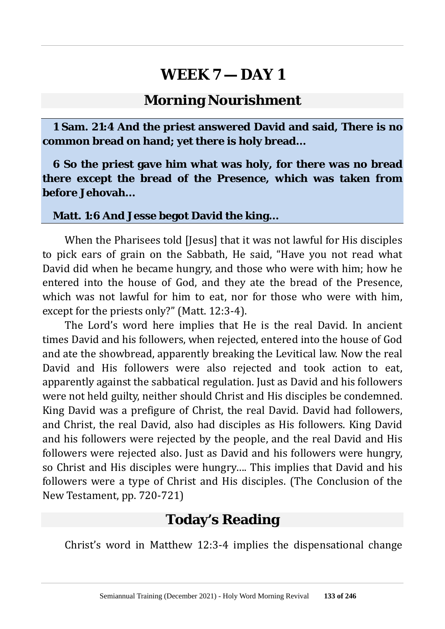#### **Morning Nourishment**

**1 Sam. 21:4 And the priest answered David and said, There is no common bread on hand; yet there is holy bread…**

**6 So the priest gave him what was holy, for there was no bread there except the bread of the Presence, which was taken from before Jehovah…**

#### **Matt. 1:6 And Jesse begot David the king…**

When the Pharisees told [Jesus] that it was not lawful for His disciples to pick ears of grain on the Sabbath, He said, "Have you not read what David did when he became hungry, and those who were with him; how he entered into the house of God, and they ate the bread of the Presence, which was not lawful for him to eat, nor for those who were with him, except for the priests only?" (Matt. 12:3-4).

The Lord's word here implies that He is the real David. In ancient times David and his followers, when rejected, entered into the house of God and ate the showbread, apparently breaking the Levitical law. Now the real David and His followers were also rejected and took action to eat, apparently against the sabbatical regulation. Just as David and his followers were not held guilty, neither should Christ and His disciples be condemned. King David was a prefigure of Christ, the real David. David had followers, and Christ, the real David, also had disciples as His followers. King David and his followers were rejected by the people, and the real David and His followers were rejected also. Just as David and his followers were hungry, so Christ and His disciples were hungry…. This implies that David and his followers were a type of Christ and His disciples. (The Conclusion of the New Testament, pp. 720-721)

#### **Today's Reading**

Christ's word in Matthew 12:3-4 implies the dispensational change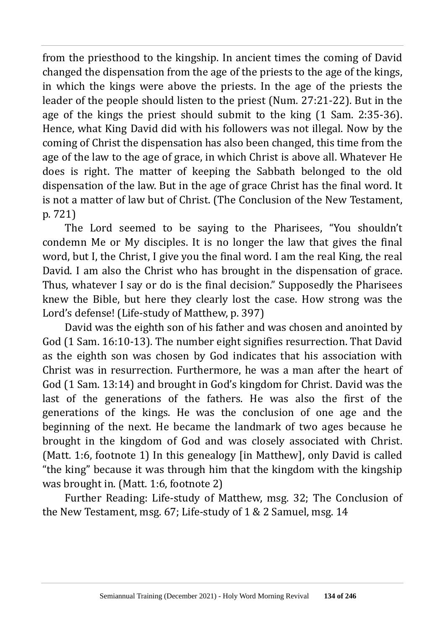from the priesthood to the kingship. In ancient times the coming of David changed the dispensation from the age of the priests to the age of the kings, in which the kings were above the priests. In the age of the priests the leader of the people should listen to the priest (Num. 27:21-22). But in the age of the kings the priest should submit to the king (1 Sam. 2:35-36). Hence, what King David did with his followers was not illegal. Now by the coming of Christ the dispensation has also been changed, this time from the age of the law to the age of grace, in which Christ is above all. Whatever He does is right. The matter of keeping the Sabbath belonged to the old dispensation of the law. But in the age of grace Christ has the final word. It is not a matter of law but of Christ. (The Conclusion of the New Testament, p. 721)

The Lord seemed to be saying to the Pharisees, "You shouldn't condemn Me or My disciples. It is no longer the law that gives the final word, but I, the Christ, I give you the final word. I am the real King, the real David. I am also the Christ who has brought in the dispensation of grace. Thus, whatever I say or do is the final decision." Supposedly the Pharisees knew the Bible, but here they clearly lost the case. How strong was the Lord's defense! (Life-study of Matthew, p. 397)

David was the eighth son of his father and was chosen and anointed by God (1 Sam. 16:10-13). The number eight signifies resurrection. That David as the eighth son was chosen by God indicates that his association with Christ was in resurrection. Furthermore, he was a man after the heart of God (1 Sam. 13:14) and brought in God's kingdom for Christ. David was the last of the generations of the fathers. He was also the first of the generations of the kings. He was the conclusion of one age and the beginning of the next. He became the landmark of two ages because he brought in the kingdom of God and was closely associated with Christ. (Matt. 1:6, footnote 1) In this genealogy [in Matthew], only David is called "the king" because it was through him that the kingdom with the kingship was brought in. (Matt. 1:6, footnote 2)

Further Reading: Life-study of Matthew, msg. 32; The Conclusion of the New Testament, msg. 67; Life-study of 1 & 2 Samuel, msg. 14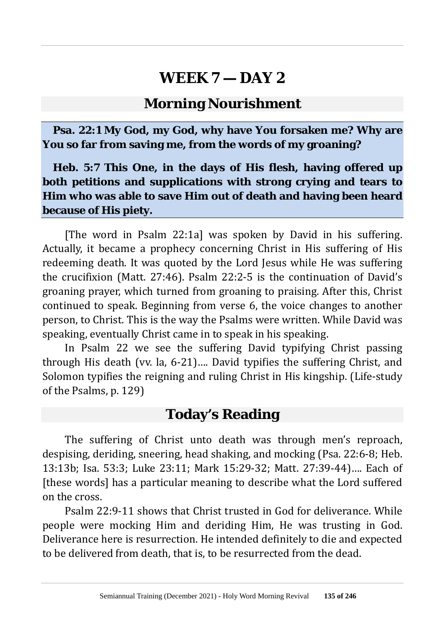### **Morning Nourishment**

**Psa. 22:1 My God, my God, why have You forsaken me? Why are You so far from saving me, from the words of my groaning?**

**Heb. 5:7 This One, in the days of His flesh, having offered up both petitions and supplications with strong crying and tears to Him who was able to save Him out of death and having been heard because of His piety.**

[The word in Psalm 22:1a] was spoken by David in his suffering. Actually, it became a prophecy concerning Christ in His suffering of His redeeming death. It was quoted by the Lord Jesus while He was suffering the crucifixion (Matt. 27:46). Psalm 22:2-5 is the continuation of David's groaning prayer, which turned from groaning to praising. After this, Christ continued to speak. Beginning from verse 6, the voice changes to another person, to Christ. This is the way the Psalms were written. While David was speaking, eventually Christ came in to speak in his speaking.

In Psalm 22 we see the suffering David typifying Christ passing through His death (vv. la, 6-21)…. David typifies the suffering Christ, and Solomon typifies the reigning and ruling Christ in His kingship. (Life-study of the Psalms, p. 129)

### **Today's Reading**

The suffering of Christ unto death was through men's reproach, despising, deriding, sneering, head shaking, and mocking (Psa. 22:6-8; Heb. 13:13b; Isa. 53:3; Luke 23:11; Mark 15:29-32; Matt. 27:39-44)…. Each of [these words] has a particular meaning to describe what the Lord suffered on the cross.

Psalm 22:9-11 shows that Christ trusted in God for deliverance. While people were mocking Him and deriding Him, He was trusting in God. Deliverance here is resurrection. He intended definitely to die and expected to be delivered from death, that is, to be resurrected from the dead.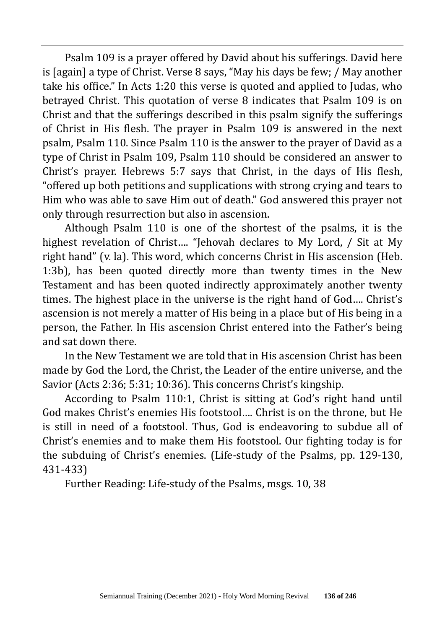Psalm 109 is a prayer offered by David about his sufferings. David here is [again] a type of Christ. Verse 8 says, "May his days be few; / May another take his office." In Acts 1:20 this verse is quoted and applied to Judas, who betrayed Christ. This quotation of verse 8 indicates that Psalm 109 is on Christ and that the sufferings described in this psalm signify the sufferings of Christ in His flesh. The prayer in Psalm 109 is answered in the next psalm, Psalm 110. Since Psalm 110 is the answer to the prayer of David as a type of Christ in Psalm 109, Psalm 110 should be considered an answer to Christ's prayer. Hebrews 5:7 says that Christ, in the days of His flesh, "offered up both petitions and supplications with strong crying and tears to Him who was able to save Him out of death." God answered this prayer not only through resurrection but also in ascension.

Although Psalm 110 is one of the shortest of the psalms, it is the highest revelation of Christ…. "Jehovah declares to My Lord, / Sit at My right hand" (v. la). This word, which concerns Christ in His ascension (Heb. 1:3b), has been quoted directly more than twenty times in the New Testament and has been quoted indirectly approximately another twenty times. The highest place in the universe is the right hand of God…. Christ's ascension is not merely a matter of His being in a place but of His being in a person, the Father. In His ascension Christ entered into the Father's being and sat down there.

In the New Testament we are told that in His ascension Christ has been made by God the Lord, the Christ, the Leader of the entire universe, and the Savior (Acts 2:36; 5:31; 10:36). This concerns Christ's kingship.

According to Psalm 110:1, Christ is sitting at God's right hand until God makes Christ's enemies His footstool…. Christ is on the throne, but He is still in need of a footstool. Thus, God is endeavoring to subdue all of Christ's enemies and to make them His footstool. Our fighting today is for the subduing of Christ's enemies. (Life-study of the Psalms, pp. 129-130, 431-433)

Further Reading: Life-study of the Psalms, msgs. 10, 38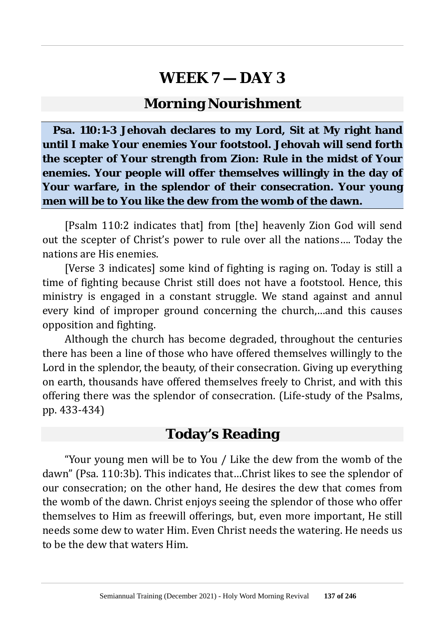### **Morning Nourishment**

**Psa. 110:1-3 Jehovah declares to my Lord, Sit at My right hand until I make Your enemies Your footstool. Jehovah will send forth the scepter of Your strength from Zion: Rule in the midst of Your enemies. Your people will offer themselves willingly in the day of Your warfare, in the splendor of their consecration. Your young men will be to You like the dew from the womb of the dawn.**

[Psalm 110:2 indicates that] from [the] heavenly Zion God will send out the scepter of Christ's power to rule over all the nations…. Today the nations are His enemies.

[Verse 3 indicates] some kind of fighting is raging on. Today is still a time of fighting because Christ still does not have a footstool. Hence, this ministry is engaged in a constant struggle. We stand against and annul every kind of improper ground concerning the church,…and this causes opposition and fighting.

Although the church has become degraded, throughout the centuries there has been a line of those who have offered themselves willingly to the Lord in the splendor, the beauty, of their consecration. Giving up everything on earth, thousands have offered themselves freely to Christ, and with this offering there was the splendor of consecration. (Life-study of the Psalms, pp. 433-434)

### **Today's Reading**

"Your young men will be to You / Like the dew from the womb of the dawn" (Psa. 110:3b). This indicates that…Christ likes to see the splendor of our consecration; on the other hand, He desires the dew that comes from the womb of the dawn. Christ enjoys seeing the splendor of those who offer themselves to Him as freewill offerings, but, even more important, He still needs some dew to water Him. Even Christ needs the watering. He needs us to be the dew that waters Him.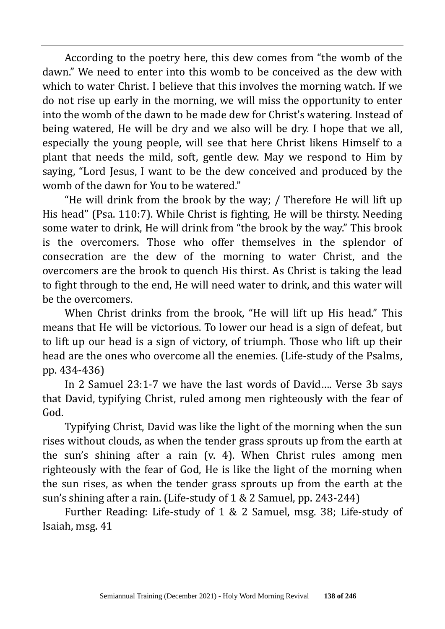According to the poetry here, this dew comes from "the womb of the dawn." We need to enter into this womb to be conceived as the dew with which to water Christ. I believe that this involves the morning watch. If we do not rise up early in the morning, we will miss the opportunity to enter into the womb of the dawn to be made dew for Christ's watering. Instead of being watered, He will be dry and we also will be dry. I hope that we all, especially the young people, will see that here Christ likens Himself to a plant that needs the mild, soft, gentle dew. May we respond to Him by saying, "Lord Jesus, I want to be the dew conceived and produced by the womb of the dawn for You to be watered."

"He will drink from the brook by the way; / Therefore He will lift up His head" (Psa. 110:7). While Christ is fighting, He will be thirsty. Needing some water to drink, He will drink from "the brook by the way." This brook is the overcomers. Those who offer themselves in the splendor of consecration are the dew of the morning to water Christ, and the overcomers are the brook to quench His thirst. As Christ is taking the lead to fight through to the end, He will need water to drink, and this water will be the overcomers.

When Christ drinks from the brook, "He will lift up His head." This means that He will be victorious. To lower our head is a sign of defeat, but to lift up our head is a sign of victory, of triumph. Those who lift up their head are the ones who overcome all the enemies. (Life-study of the Psalms, pp. 434-436)

In 2 Samuel 23:1-7 we have the last words of David…. Verse 3b says that David, typifying Christ, ruled among men righteously with the fear of God.

Typifying Christ, David was like the light of the morning when the sun rises without clouds, as when the tender grass sprouts up from the earth at the sun's shining after a rain (v. 4). When Christ rules among men righteously with the fear of God, He is like the light of the morning when the sun rises, as when the tender grass sprouts up from the earth at the sun's shining after a rain. (Life-study of 1 & 2 Samuel, pp. 243-244)

Further Reading: Life-study of 1 & 2 Samuel, msg. 38; Life-study of Isaiah, msg. 41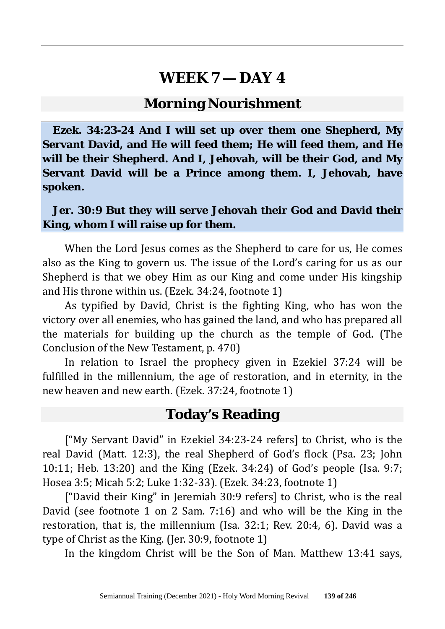#### **Morning Nourishment**

**Ezek. 34:23-24 And I will set up over them one Shepherd, My Servant David, and He will feed them; He will feed them, and He will be their Shepherd. And I, Jehovah, will be their God, and My Servant David will be a Prince among them. I, Jehovah, have spoken.**

#### **Jer. 30:9 But they will serve Jehovah their God and David their King, whom I will raise up for them.**

When the Lord Jesus comes as the Shepherd to care for us, He comes also as the King to govern us. The issue of the Lord's caring for us as our Shepherd is that we obey Him as our King and come under His kingship and His throne within us. (Ezek. 34:24, footnote 1)

As typified by David, Christ is the fighting King, who has won the victory over all enemies, who has gained the land, and who has prepared all the materials for building up the church as the temple of God. (The Conclusion of the New Testament, p. 470)

In relation to Israel the prophecy given in Ezekiel 37:24 will be fulfilled in the millennium, the age of restoration, and in eternity, in the new heaven and new earth. (Ezek. 37:24, footnote 1)

#### **Today's Reading**

["My Servant David" in Ezekiel 34:23-24 refers] to Christ, who is the real David (Matt. 12:3), the real Shepherd of God's flock (Psa. 23; John 10:11; Heb. 13:20) and the King (Ezek. 34:24) of God's people (Isa. 9:7; Hosea 3:5; Micah 5:2; Luke 1:32-33). (Ezek. 34:23, footnote 1)

["David their King" in Jeremiah 30:9 refers] to Christ, who is the real David (see footnote 1 on 2 Sam. 7:16) and who will be the King in the restoration, that is, the millennium (Isa. 32:1; Rev. 20:4, 6). David was a type of Christ as the King. (Jer. 30:9, footnote 1)

In the kingdom Christ will be the Son of Man. Matthew 13:41 says,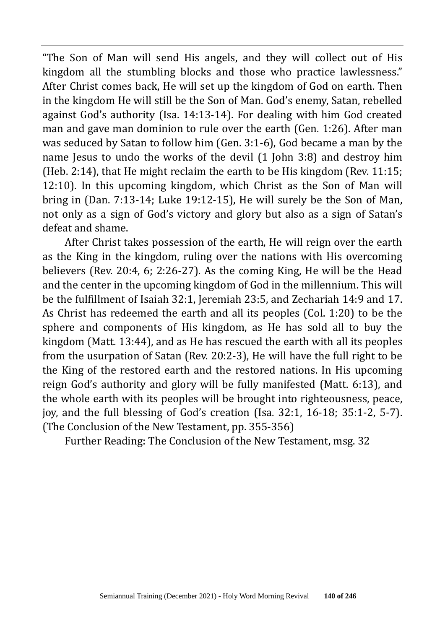"The Son of Man will send His angels, and they will collect out of His kingdom all the stumbling blocks and those who practice lawlessness." After Christ comes back, He will set up the kingdom of God on earth. Then in the kingdom He will still be the Son of Man. God's enemy, Satan, rebelled against God's authority (Isa. 14:13-14). For dealing with him God created man and gave man dominion to rule over the earth (Gen. 1:26). After man was seduced by Satan to follow him (Gen. 3:1-6), God became a man by the name Jesus to undo the works of the devil (1 John 3:8) and destroy him (Heb. 2:14), that He might reclaim the earth to be His kingdom (Rev. 11:15; 12:10). In this upcoming kingdom, which Christ as the Son of Man will bring in (Dan. 7:13-14; Luke 19:12-15), He will surely be the Son of Man, not only as a sign of God's victory and glory but also as a sign of Satan's defeat and shame.

After Christ takes possession of the earth, He will reign over the earth as the King in the kingdom, ruling over the nations with His overcoming believers (Rev. 20:4, 6; 2:26-27). As the coming King, He will be the Head and the center in the upcoming kingdom of God in the millennium. This will be the fulfillment of Isaiah 32:1, Jeremiah 23:5, and Zechariah 14:9 and 17. As Christ has redeemed the earth and all its peoples (Col. 1:20) to be the sphere and components of His kingdom, as He has sold all to buy the kingdom (Matt. 13:44), and as He has rescued the earth with all its peoples from the usurpation of Satan (Rev. 20:2-3), He will have the full right to be the King of the restored earth and the restored nations. In His upcoming reign God's authority and glory will be fully manifested (Matt. 6:13), and the whole earth with its peoples will be brought into righteousness, peace, joy, and the full blessing of God's creation (Isa. 32:1, 16-18; 35:1-2, 5-7). (The Conclusion of the New Testament, pp. 355-356)

Further Reading: The Conclusion of the New Testament, msg. 32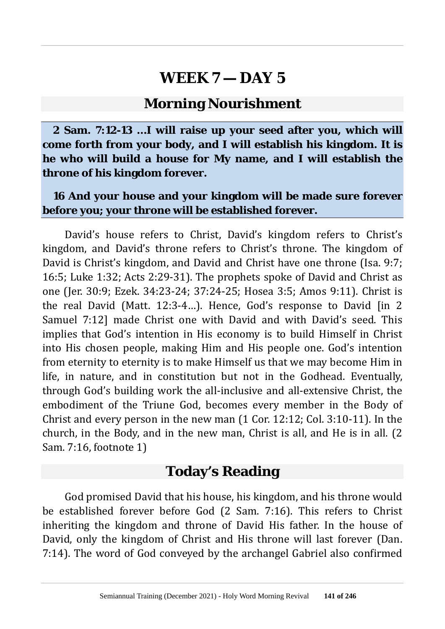#### **Morning Nourishment**

**2 Sam. 7:12-13 …I will raise up your seed after you, which will come forth from your body, and I will establish his kingdom. It is he who will build a house for My name, and I will establish the throne of his kingdom forever.**

#### **16 And your house and your kingdom will be made sure forever before you; your throne will be established forever.**

David's house refers to Christ, David's kingdom refers to Christ's kingdom, and David's throne refers to Christ's throne. The kingdom of David is Christ's kingdom, and David and Christ have one throne (Isa. 9:7; 16:5; Luke 1:32; Acts 2:29-31). The prophets spoke of David and Christ as one (Jer. 30:9; Ezek. 34:23-24; 37:24-25; Hosea 3:5; Amos 9:11). Christ is the real David (Matt. 12:3-4…). Hence, God's response to David [in 2 Samuel 7:12] made Christ one with David and with David's seed. This implies that God's intention in His economy is to build Himself in Christ into His chosen people, making Him and His people one. God's intention from eternity to eternity is to make Himself us that we may become Him in life, in nature, and in constitution but not in the Godhead. Eventually, through God's building work the all-inclusive and all-extensive Christ, the embodiment of the Triune God, becomes every member in the Body of Christ and every person in the new man (1 Cor. 12:12; Col. 3:10-11). In the church, in the Body, and in the new man, Christ is all, and He is in all. (2 Sam. 7:16, footnote 1)

#### **Today's Reading**

God promised David that his house, his kingdom, and his throne would be established forever before God (2 Sam. 7:16). This refers to Christ inheriting the kingdom and throne of David His father. In the house of David, only the kingdom of Christ and His throne will last forever (Dan. 7:14). The word of God conveyed by the archangel Gabriel also confirmed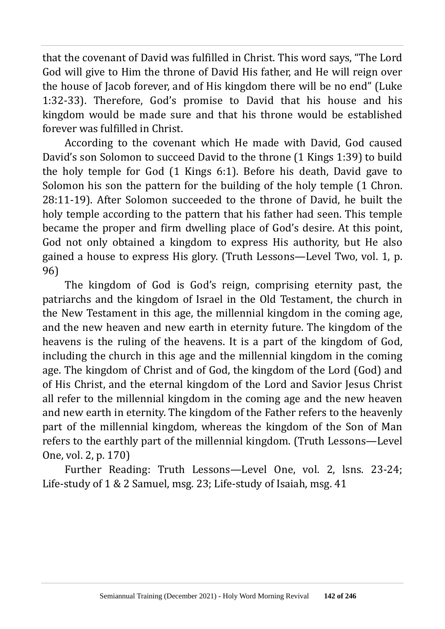that the covenant of David was fulfilled in Christ. This word says, "The Lord God will give to Him the throne of David His father, and He will reign over the house of Jacob forever, and of His kingdom there will be no end" (Luke 1:32-33). Therefore, God's promise to David that his house and his kingdom would be made sure and that his throne would be established forever was fulfilled in Christ.

According to the covenant which He made with David, God caused David's son Solomon to succeed David to the throne (1 Kings 1:39) to build the holy temple for God (1 Kings 6:1). Before his death, David gave to Solomon his son the pattern for the building of the holy temple (1 Chron. 28:11-19). After Solomon succeeded to the throne of David, he built the holy temple according to the pattern that his father had seen. This temple became the proper and firm dwelling place of God's desire. At this point, God not only obtained a kingdom to express His authority, but He also gained a house to express His glory. (Truth Lessons—Level Two, vol. 1, p. 96)

The kingdom of God is God's reign, comprising eternity past, the patriarchs and the kingdom of Israel in the Old Testament, the church in the New Testament in this age, the millennial kingdom in the coming age, and the new heaven and new earth in eternity future. The kingdom of the heavens is the ruling of the heavens. It is a part of the kingdom of God, including the church in this age and the millennial kingdom in the coming age. The kingdom of Christ and of God, the kingdom of the Lord (God) and of His Christ, and the eternal kingdom of the Lord and Savior Jesus Christ all refer to the millennial kingdom in the coming age and the new heaven and new earth in eternity. The kingdom of the Father refers to the heavenly part of the millennial kingdom, whereas the kingdom of the Son of Man refers to the earthly part of the millennial kingdom. (Truth Lessons—Level One, vol. 2, p. 170)

Further Reading: Truth Lessons—Level One, vol. 2, lsns. 23-24; Life-study of 1 & 2 Samuel, msg. 23; Life-study of Isaiah, msg. 41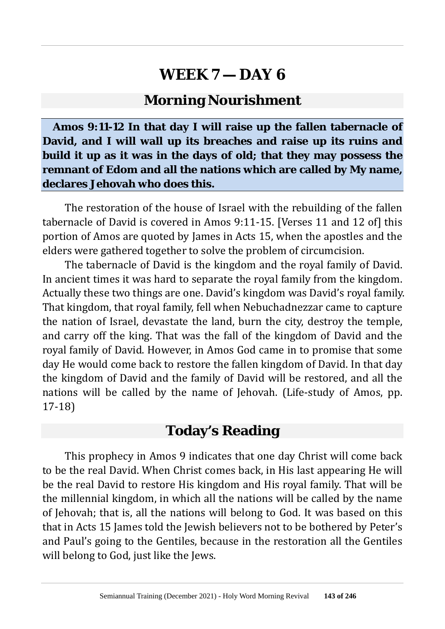#### **Morning Nourishment**

**Amos 9:11-12 In that day I will raise up the fallen tabernacle of David, and I will wall up its breaches and raise up its ruins and build it up as it was in the days of old; that they may possess the remnant of Edom and all the nations which are called by My name, declares Jehovah who does this.**

The restoration of the house of Israel with the rebuilding of the fallen tabernacle of David is covered in Amos 9:11-15. [Verses 11 and 12 of] this portion of Amos are quoted by James in Acts 15, when the apostles and the elders were gathered together to solve the problem of circumcision.

The tabernacle of David is the kingdom and the royal family of David. In ancient times it was hard to separate the royal family from the kingdom. Actually these two things are one. David's kingdom was David's royal family. That kingdom, that royal family, fell when Nebuchadnezzar came to capture the nation of Israel, devastate the land, burn the city, destroy the temple, and carry off the king. That was the fall of the kingdom of David and the royal family of David. However, in Amos God came in to promise that some day He would come back to restore the fallen kingdom of David. In that day the kingdom of David and the family of David will be restored, and all the nations will be called by the name of Jehovah. (Life-study of Amos, pp. 17-18)

#### **Today's Reading**

This prophecy in Amos 9 indicates that one day Christ will come back to be the real David. When Christ comes back, in His last appearing He will be the real David to restore His kingdom and His royal family. That will be the millennial kingdom, in which all the nations will be called by the name of Jehovah; that is, all the nations will belong to God. It was based on this that in Acts 15 James told the Jewish believers not to be bothered by Peter's and Paul's going to the Gentiles, because in the restoration all the Gentiles will belong to God, just like the Jews.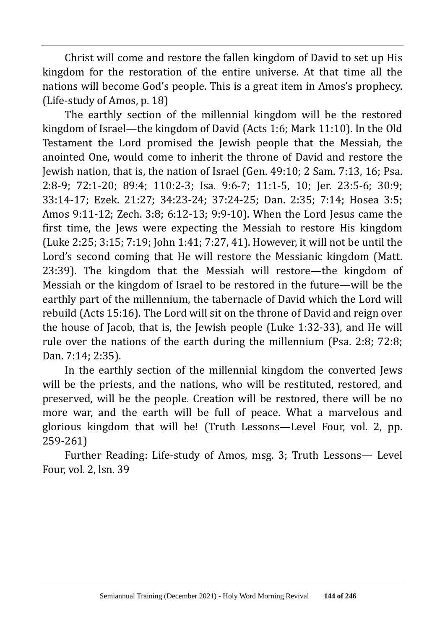Christ will come and restore the fallen kingdom of David to set up His kingdom for the restoration of the entire universe. At that time all the nations will become God's people. This is a great item in Amos's prophecy. (Life-study of Amos, p. 18)

The earthly section of the millennial kingdom will be the restored kingdom of Israel—the kingdom of David (Acts 1:6; Mark 11:10). In the Old Testament the Lord promised the Jewish people that the Messiah, the anointed One, would come to inherit the throne of David and restore the Jewish nation, that is, the nation of Israel (Gen. 49:10; 2 Sam. 7:13, 16; Psa. 2:8-9; 72:1-20; 89:4; 110:2-3; Isa. 9:6-7; 11:1-5, 10; Jer. 23:5-6; 30:9; 33:14-17; Ezek. 21:27; 34:23-24; 37:24-25; Dan. 2:35; 7:14; Hosea 3:5; Amos 9:11-12; Zech. 3:8; 6:12-13; 9:9-10). When the Lord Jesus came the first time, the Jews were expecting the Messiah to restore His kingdom (Luke 2:25; 3:15; 7:19; John 1:41; 7:27, 41). However, it will not be until the Lord's second coming that He will restore the Messianic kingdom (Matt. 23:39). The kingdom that the Messiah will restore—the kingdom of Messiah or the kingdom of Israel to be restored in the future—will be the earthly part of the millennium, the tabernacle of David which the Lord will rebuild (Acts 15:16). The Lord will sit on the throne of David and reign over the house of Jacob, that is, the Jewish people (Luke 1:32-33), and He will rule over the nations of the earth during the millennium (Psa. 2:8; 72:8; Dan. 7:14; 2:35).

In the earthly section of the millennial kingdom the converted Jews will be the priests, and the nations, who will be restituted, restored, and preserved, will be the people. Creation will be restored, there will be no more war, and the earth will be full of peace. What a marvelous and glorious kingdom that will be! (Truth Lessons—Level Four, vol. 2, pp. 259-261)

Further Reading: Life-study of Amos, msg. 3; Truth Lessons— Level Four, vol. 2, lsn. 39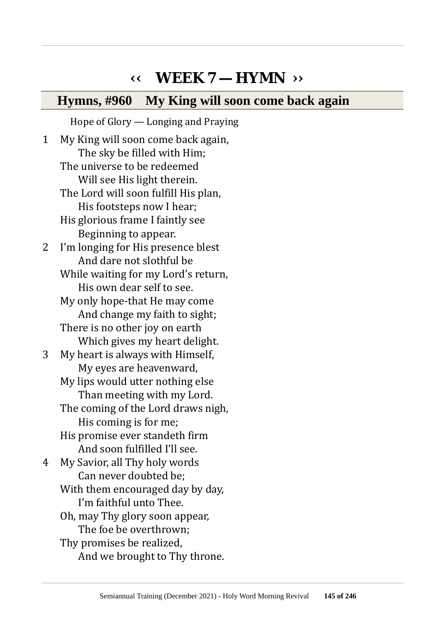## **‹‹ WEEK 7 — HYMN ››**

### **Hymns, #960 My King will soon come back again**

Hope of Glory — Longing and Praying 1 My King will soon come back again, The sky be filled with Him; The universe to be redeemed Will see His light therein. The Lord will soon fulfill His plan, His footsteps now I hear; His glorious frame I faintly see Beginning to appear. 2 I'm longing for His presence blest And dare not slothful be While waiting for my Lord's return. His own dear self to see. My only hope-that He may come And change my faith to sight; There is no other joy on earth Which gives my heart delight. 3 My heart is always with Himself, My eyes are heavenward, My lips would utter nothing else Than meeting with my Lord. The coming of the Lord draws nigh, His coming is for me; His promise ever standeth firm And soon fulfilled I'll see. 4 My Savior, all Thy holy words Can never doubted be; With them encouraged day by day, I'm faithful unto Thee. Oh, may Thy glory soon appear, The foe be overthrown; Thy promises be realized, And we brought to Thy throne.